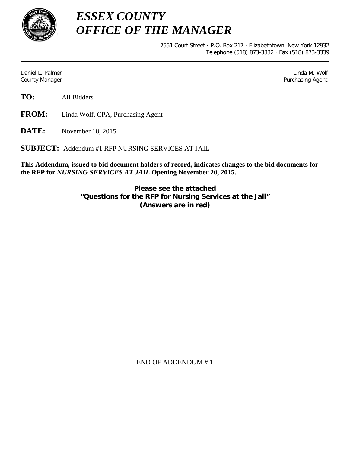

*ESSEX COUNTY OFFICE OF THE MANAGER*

> 7551 Court Street · P.O. Box 217 · Elizabethtown, New York 12932 Telephone (518) 873-3332 · Fax (518) 873-3339

Daniel L. Palmer Later and the control of the control of the control of the control of the control of the control of the control of the control of the control of the control of the control of the control of the control of County Manager **Purchasing Agent** County Manager **Purchasing Agent** County Manager

**TO:** All Bidders

**FROM:** Linda Wolf, CPA, Purchasing Agent

**DATE:** November 18, 2015

**SUBJECT:** Addendum #1 RFP NURSING SERVICES AT JAIL

**This Addendum, issued to bid document holders of record, indicates changes to the bid documents for the RFP for** *NURSING SERVICES AT JAIL* **Opening November 20, 2015.**

> **Please see the attached "Questions for the RFP for Nursing Services at the Jail" (Answers are in red)**

> > END OF ADDENDUM # 1